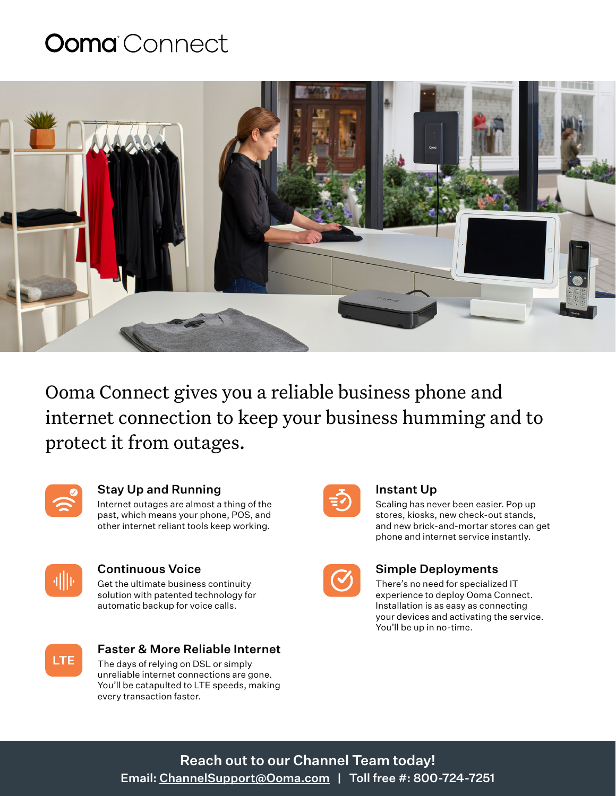## **Ooma** Connect



Ooma Connect gives you a reliable business phone and internet connection to keep your business humming and to protect it from outages.



### Stay Up and Running

Internet outages are almost a thing of the past, which means your phone, POS, and other internet reliant tools keep working.



### Continuous Voice

Get the ultimate business continuity solution with patented technology for automatic backup for voice calls.



### Faster & More Reliable Internet

The days of relying on DSL or simply unreliable internet connections are gone. You'll be catapulted to LTE speeds, making every transaction faster.



### Instant Up

Scaling has never been easier. Pop up stores, kiosks, new check-out stands, and new brick-and-mortar stores can get phone and internet service instantly.

| ٠ |  |
|---|--|

### Simple Deployments

There's no need for specialized IT experience to deploy Ooma Connect. Installation is as easy as connecting your devices and activating the service. You'll be up in no-time.